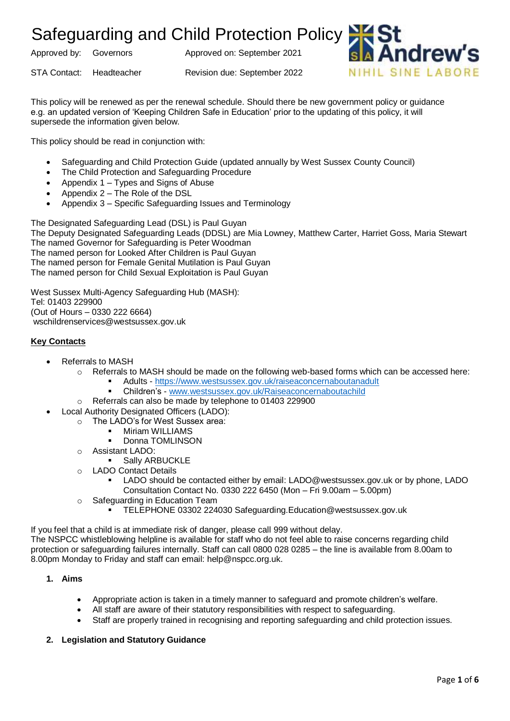Approved by: Governors Approved on: September 2021

STA Contact: Headteacher Revision due: September 2022



This policy will be renewed as per the renewal schedule. Should there be new government policy or guidance e.g. an updated version of 'Keeping Children Safe in Education' prior to the updating of this policy, it will supersede the information given below.

This policy should be read in conjunction with:

- Safeguarding and Child Protection Guide (updated annually by West Sussex County Council)
- The Child Protection and Safeguarding Procedure
- Appendix 1 Types and Signs of Abuse
- Appendix 2 The Role of the DSL
- Appendix 3 Specific Safeguarding Issues and Terminology

The Designated Safeguarding Lead (DSL) is Paul Guyan The Deputy Designated Safeguarding Leads (DDSL) are Mia Lowney, Matthew Carter, Harriet Goss, Maria Stewart The named Governor for Safeguarding is Peter Woodman The named person for Looked After Children is Paul Guyan The named person for Female Genital Mutilation is Paul Guyan The named person for Child Sexual Exploitation is Paul Guyan

West Sussex Multi-Agency Safeguarding Hub (MASH): Tel: 01403 229900 (Out of Hours – 0330 222 6664) wschildrenservices@westsussex.gov.uk

#### **Key Contacts**

- Referrals to MASH
	- $\circ$  Referrals to MASH should be made on the following web-based forms which can be accessed here:
		- Adults <https://www.westsussex.gov.uk/raiseaconcernaboutanadult>
			- Children's [www.westsussex.gov.uk/Raiseaconcernaboutachild](http://www.westsussex.gov.uk/Raiseaconcernaboutachild)
	- o Referrals can also be made by telephone to 01403 229900
- Local Authority Designated Officers (LADO):
	- o The LADO's for West Sussex area:
		- **■** Miriam WILLIAMS
		- Donna TOMLINSON
	- o Assistant LADO:
		- **•** Sally ARBUCKLE
	- o LADO Contact Details
		- LADO should be contacted either by email: LADO@westsussex.gov.uk or by phone, LADO Consultation Contact No. 0330 222 6450 (Mon – Fri 9.00am – 5.00pm)
	- o Safeguarding in Education Team
		- TELEPHONE 03302 224030 Safeguarding.Education@westsussex.gov.uk

If you feel that a child is at immediate risk of danger, please call 999 without delay.

The NSPCC whistleblowing helpline is available for staff who do not feel able to raise concerns regarding child protection or safeguarding failures internally. Staff can call 0800 028 0285 – the line is available from 8.00am to 8.00pm Monday to Friday and staff can email: help@nspcc.org.uk.

#### **1. Aims**

- Appropriate action is taken in a timely manner to safeguard and promote children's welfare.
- All staff are aware of their statutory responsibilities with respect to safeguarding.
- Staff are properly trained in recognising and reporting safeguarding and child protection issues.

#### **2. Legislation and Statutory Guidance**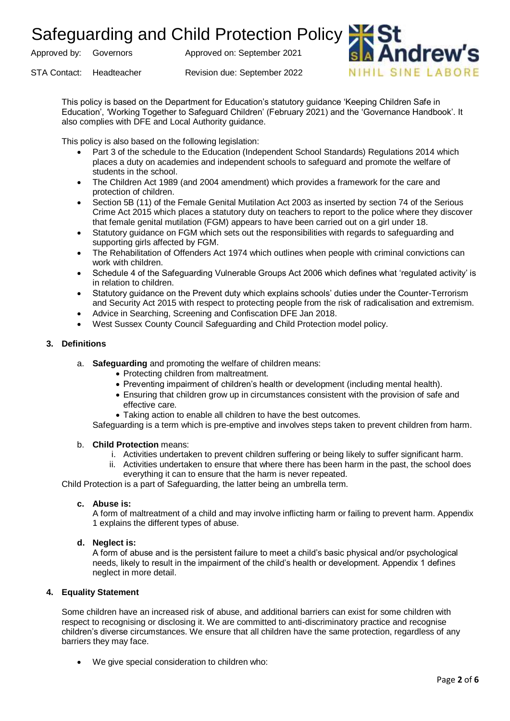Approved by: Governors Approved on: September 2021

STA Contact: Headteacher Revision due: September 2022



This policy is based on the Department for Education's statutory guidance 'Keeping Children Safe in Education', 'Working Together to Safeguard Children' (February 2021) and the 'Governance Handbook'. It also complies with DFE and Local Authority guidance.

This policy is also based on the following legislation:

- Part 3 of the schedule to the Education (Independent School Standards) Regulations 2014 which places a duty on academies and independent schools to safeguard and promote the welfare of students in the school.
- The Children Act 1989 (and 2004 amendment) which provides a framework for the care and protection of children.
- Section 5B (11) of the Female Genital Mutilation Act 2003 as inserted by section 74 of the Serious Crime Act 2015 which places a statutory duty on teachers to report to the police where they discover that female genital mutilation (FGM) appears to have been carried out on a girl under 18.
- Statutory guidance on FGM which sets out the responsibilities with regards to safeguarding and supporting girls affected by FGM.
- The Rehabilitation of Offenders Act 1974 which outlines when people with criminal convictions can work with children.
- Schedule 4 of the Safeguarding Vulnerable Groups Act 2006 which defines what 'regulated activity' is in relation to children.
- Statutory guidance on the Prevent duty which explains schools' duties under the Counter-Terrorism and Security Act 2015 with respect to protecting people from the risk of radicalisation and extremism.
- Advice in Searching, Screening and Confiscation DFE Jan 2018.
- West Sussex County Council Safeguarding and Child Protection model policy.

#### **3. Definitions**

- a. **Safeguarding** and promoting the welfare of children means:
	- Protecting children from maltreatment.
	- Preventing impairment of children's health or development (including mental health).
	- Ensuring that children grow up in circumstances consistent with the provision of safe and effective care.
	- Taking action to enable all children to have the best outcomes.

Safeguarding is a term which is pre-emptive and involves steps taken to prevent children from harm.

#### b. **Child Protection** means:

- i. Activities undertaken to prevent children suffering or being likely to suffer significant harm.
- ii. Activities undertaken to ensure that where there has been harm in the past, the school does everything it can to ensure that the harm is never repeated.

Child Protection is a part of Safeguarding, the latter being an umbrella term.

#### **c. Abuse is:**

A form of maltreatment of a child and may involve inflicting harm or failing to prevent harm. Appendix 1 explains the different types of abuse.

#### **d. Neglect is:**

A form of abuse and is the persistent failure to meet a child's basic physical and/or psychological needs, likely to result in the impairment of the child's health or development. Appendix 1 defines neglect in more detail.

#### **4. Equality Statement**

Some children have an increased risk of abuse, and additional barriers can exist for some children with respect to recognising or disclosing it. We are committed to anti-discriminatory practice and recognise children's diverse circumstances. We ensure that all children have the same protection, regardless of any barriers they may face.

• We give special consideration to children who: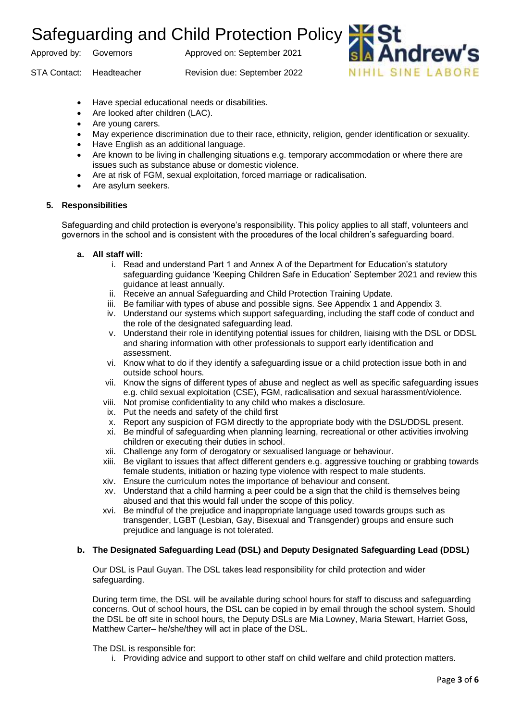Approved by: Governors Approved on: September 2021

STA Contact: Headteacher Revision due: September 2022



- Have special educational needs or disabilities.
- Are looked after children (LAC).
- Are young carers.
- May experience discrimination due to their race, ethnicity, religion, gender identification or sexuality.
- Have English as an additional language.
- Are known to be living in challenging situations e.g. temporary accommodation or where there are issues such as substance abuse or domestic violence.
- Are at risk of FGM, sexual exploitation, forced marriage or radicalisation.
- Are asylum seekers.

#### **5. Responsibilities**

Safeguarding and child protection is everyone's responsibility. This policy applies to all staff, volunteers and governors in the school and is consistent with the procedures of the local children's safeguarding board.

- **a. All staff will:**
	- i. Read and understand Part 1 and Annex A of the Department for Education's statutory safeguarding guidance 'Keeping Children Safe in Education' September 2021 and review this guidance at least annually.
	- ii. Receive an annual Safeguarding and Child Protection Training Update.
	- iii. Be familiar with types of abuse and possible signs. See Appendix 1 and Appendix 3.
	- iv. Understand our systems which support safeguarding, including the staff code of conduct and the role of the designated safeguarding lead.
	- v. Understand their role in identifying potential issues for children, liaising with the DSL or DDSL and sharing information with other professionals to support early identification and assessment.
	- vi. Know what to do if they identify a safeguarding issue or a child protection issue both in and outside school hours.
	- vii. Know the signs of different types of abuse and neglect as well as specific safeguarding issues e.g. child sexual exploitation (CSE), FGM, radicalisation and sexual harassment/violence.
	- viii. Not promise confidentiality to any child who makes a disclosure.
	- ix. Put the needs and safety of the child first
	- x. Report any suspicion of FGM directly to the appropriate body with the DSL/DDSL present.
	- xi. Be mindful of safeguarding when planning learning, recreational or other activities involving children or executing their duties in school.
	- xii. Challenge any form of derogatory or sexualised language or behaviour.
	- xiii. Be vigilant to issues that affect different genders e.g. aggressive touching or grabbing towards female students, initiation or hazing type violence with respect to male students.
	- xiv. Ensure the curriculum notes the importance of behaviour and consent.
	- xv. Understand that a child harming a peer could be a sign that the child is themselves being abused and that this would fall under the scope of this policy.
	- xvi. Be mindful of the prejudice and inappropriate language used towards groups such as transgender, LGBT (Lesbian, Gay, Bisexual and Transgender) groups and ensure such prejudice and language is not tolerated.

### **b. The Designated Safeguarding Lead (DSL) and Deputy Designated Safeguarding Lead (DDSL)**

Our DSL is Paul Guyan. The DSL takes lead responsibility for child protection and wider safeguarding.

During term time, the DSL will be available during school hours for staff to discuss and safeguarding concerns. Out of school hours, the DSL can be copied in by email through the school system. Should the DSL be off site in school hours, the Deputy DSLs are Mia Lowney, Maria Stewart, Harriet Goss, Matthew Carter– he/she/they will act in place of the DSL.

The DSL is responsible for:

i. Providing advice and support to other staff on child welfare and child protection matters.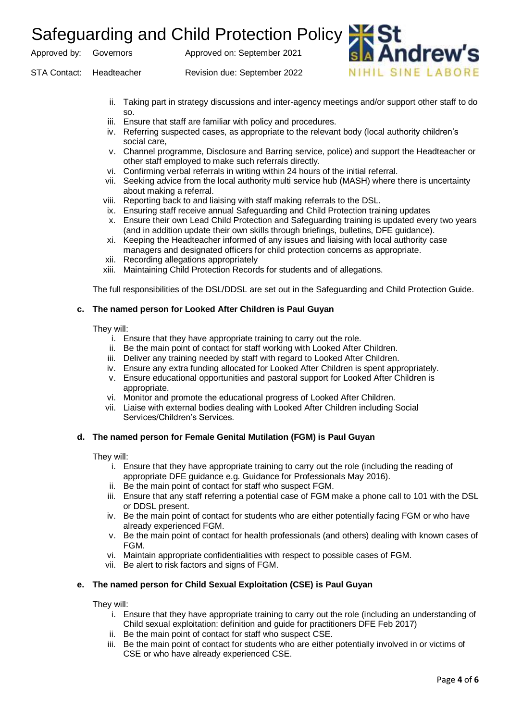Approved by: Governors Approved on: September 2021

STA Contact: Headteacher Revision due: September 2022

ii. Taking part in strategy discussions and inter-agency meetings and/or support other staff to do so.

ndrew

NIHIL SINE LARORE

- iii. Ensure that staff are familiar with policy and procedures.
- iv. Referring suspected cases, as appropriate to the relevant body (local authority children's social care,
- v. Channel programme, Disclosure and Barring service, police) and support the Headteacher or other staff employed to make such referrals directly.
- vi. Confirming verbal referrals in writing within 24 hours of the initial referral.
- vii. Seeking advice from the local authority multi service hub (MASH) where there is uncertainty about making a referral.
- viii. Reporting back to and liaising with staff making referrals to the DSL.
- ix. Ensuring staff receive annual Safeguarding and Child Protection training updates
- x. Ensure their own Lead Child Protection and Safeguarding training is updated every two years (and in addition update their own skills through briefings, bulletins, DFE guidance).
- xi. Keeping the Headteacher informed of any issues and liaising with local authority case managers and designated officers for child protection concerns as appropriate.
- xii. Recording allegations appropriately
- xiii. Maintaining Child Protection Records for students and of allegations.

The full responsibilities of the DSL/DDSL are set out in the Safeguarding and Child Protection Guide.

#### **c. The named person for Looked After Children is Paul Guyan**

They will:

- i. Ensure that they have appropriate training to carry out the role.
- ii. Be the main point of contact for staff working with Looked After Children.
- iii. Deliver any training needed by staff with regard to Looked After Children.
- iv. Ensure any extra funding allocated for Looked After Children is spent appropriately.
- v. Ensure educational opportunities and pastoral support for Looked After Children is appropriate.
- vi. Monitor and promote the educational progress of Looked After Children.
- vii. Liaise with external bodies dealing with Looked After Children including Social Services/Children's Services.

#### **d. The named person for Female Genital Mutilation (FGM) is Paul Guyan**

They will:

- i. Ensure that they have appropriate training to carry out the role (including the reading of appropriate DFE guidance e.g. Guidance for Professionals May 2016).
- ii. Be the main point of contact for staff who suspect FGM.
- iii. Ensure that any staff referring a potential case of FGM make a phone call to 101 with the DSL or DDSL present.
- iv. Be the main point of contact for students who are either potentially facing FGM or who have already experienced FGM.
- v. Be the main point of contact for health professionals (and others) dealing with known cases of FGM.
- vi. Maintain appropriate confidentialities with respect to possible cases of FGM.
- vii. Be alert to risk factors and signs of FGM.

#### **e. The named person for Child Sexual Exploitation (CSE) is Paul Guyan**

They will:

- i. Ensure that they have appropriate training to carry out the role (including an understanding of Child sexual exploitation: definition and guide for practitioners DFE Feb 2017)
- ii. Be the main point of contact for staff who suspect CSE.
- iii. Be the main point of contact for students who are either potentially involved in or victims of CSE or who have already experienced CSE.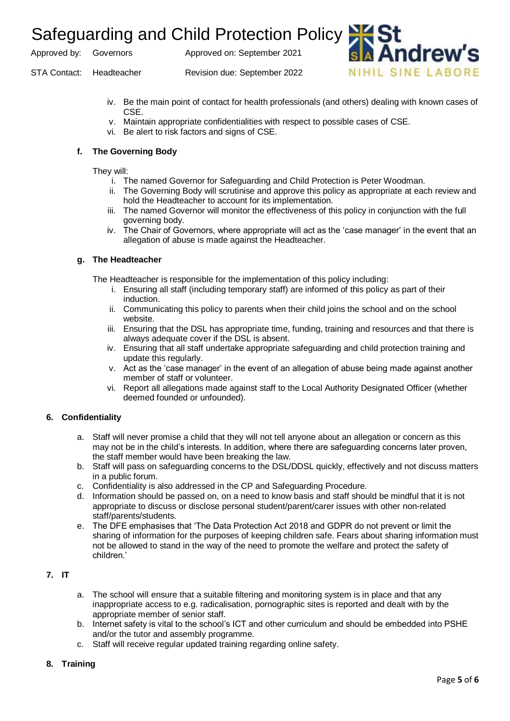Approved by: Governors Approved on: September 2021

STA Contact: Headteacher Revision due: September 2022

iv. Be the main point of contact for health professionals (and others) dealing with known cases of CSE.

idrew

NIHIL SINE LARORE

- v. Maintain appropriate confidentialities with respect to possible cases of CSE.
- vi. Be alert to risk factors and signs of CSE.

#### **f. The Governing Body**

They will:

- i. The named Governor for Safeguarding and Child Protection is Peter Woodman.
- ii. The Governing Body will scrutinise and approve this policy as appropriate at each review and hold the Headteacher to account for its implementation.
- iii. The named Governor will monitor the effectiveness of this policy in conjunction with the full governing body.
- iv. The Chair of Governors, where appropriate will act as the 'case manager' in the event that an allegation of abuse is made against the Headteacher.

#### **g. The Headteacher**

The Headteacher is responsible for the implementation of this policy including:

- i. Ensuring all staff (including temporary staff) are informed of this policy as part of their induction.
- ii. Communicating this policy to parents when their child joins the school and on the school website.
- iii. Ensuring that the DSL has appropriate time, funding, training and resources and that there is always adequate cover if the DSL is absent.
- iv. Ensuring that all staff undertake appropriate safeguarding and child protection training and update this regularly.
- v. Act as the 'case manager' in the event of an allegation of abuse being made against another member of staff or volunteer.
- vi. Report all allegations made against staff to the Local Authority Designated Officer (whether deemed founded or unfounded).

### **6. Confidentiality**

- a. Staff will never promise a child that they will not tell anyone about an allegation or concern as this may not be in the child's interests. In addition, where there are safeguarding concerns later proven, the staff member would have been breaking the law.
- b. Staff will pass on safeguarding concerns to the DSL/DDSL quickly, effectively and not discuss matters in a public forum.
- c. Confidentiality is also addressed in the CP and Safeguarding Procedure.
- d. Information should be passed on, on a need to know basis and staff should be mindful that it is not appropriate to discuss or disclose personal student/parent/carer issues with other non-related staff/parents/students.
- e. The DFE emphasises that 'The Data Protection Act 2018 and GDPR do not prevent or limit the sharing of information for the purposes of keeping children safe. Fears about sharing information must not be allowed to stand in the way of the need to promote the welfare and protect the safety of children.'

### **7. IT**

- a. The school will ensure that a suitable filtering and monitoring system is in place and that any inappropriate access to e.g. radicalisation, pornographic sites is reported and dealt with by the appropriate member of senior staff.
- b. Internet safety is vital to the school's ICT and other curriculum and should be embedded into PSHE and/or the tutor and assembly programme.
- c. Staff will receive regular updated training regarding online safety.

#### **8. Training**